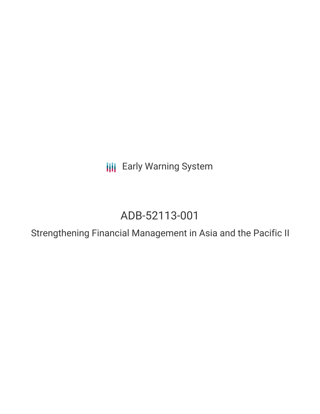**III** Early Warning System

# ADB-52113-001

Strengthening Financial Management in Asia and the Pacific II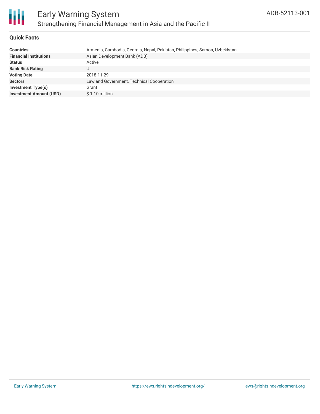

#### **Quick Facts**

| <b>Countries</b>               | Armenia, Cambodia, Georgia, Nepal, Pakistan, Philippines, Samoa, Uzbekistan |
|--------------------------------|-----------------------------------------------------------------------------|
| <b>Financial Institutions</b>  | Asian Development Bank (ADB)                                                |
| <b>Status</b>                  | Active                                                                      |
| <b>Bank Risk Rating</b>        |                                                                             |
| <b>Voting Date</b>             | 2018-11-29                                                                  |
| <b>Sectors</b>                 | Law and Government, Technical Cooperation                                   |
| <b>Investment Type(s)</b>      | Grant                                                                       |
| <b>Investment Amount (USD)</b> | $$1.10$ million                                                             |
|                                |                                                                             |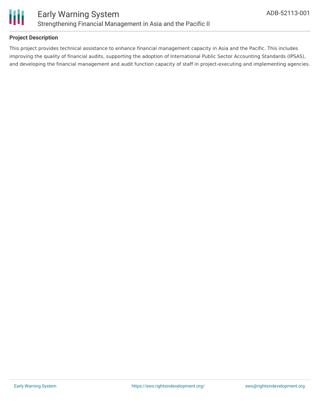

#### **Project Description**

This project provides technical assistance to enhance financial management capacity in Asia and the Pacific. This includes improving the quality of financial audits, supporting the adoption of International Public Sector Accounting Standards (IPSAS), and developing the financial management and audit function capacity of staff in project-executing and implementing agencies.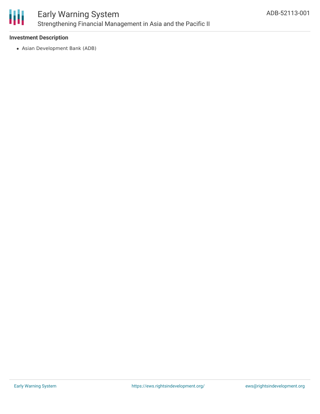

## Early Warning System Strengthening Financial Management in Asia and the Pacific II

#### **Investment Description**

Asian Development Bank (ADB)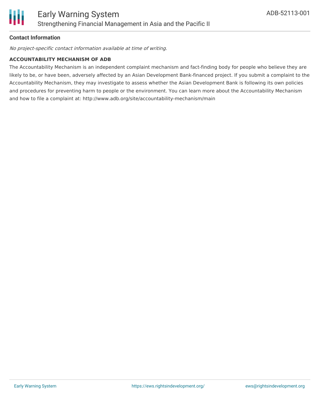

#### **Contact Information**

No project-specific contact information available at time of writing.

#### **ACCOUNTABILITY MECHANISM OF ADB**

The Accountability Mechanism is an independent complaint mechanism and fact-finding body for people who believe they are likely to be, or have been, adversely affected by an Asian Development Bank-financed project. If you submit a complaint to the Accountability Mechanism, they may investigate to assess whether the Asian Development Bank is following its own policies and procedures for preventing harm to people or the environment. You can learn more about the Accountability Mechanism and how to file a complaint at: http://www.adb.org/site/accountability-mechanism/main